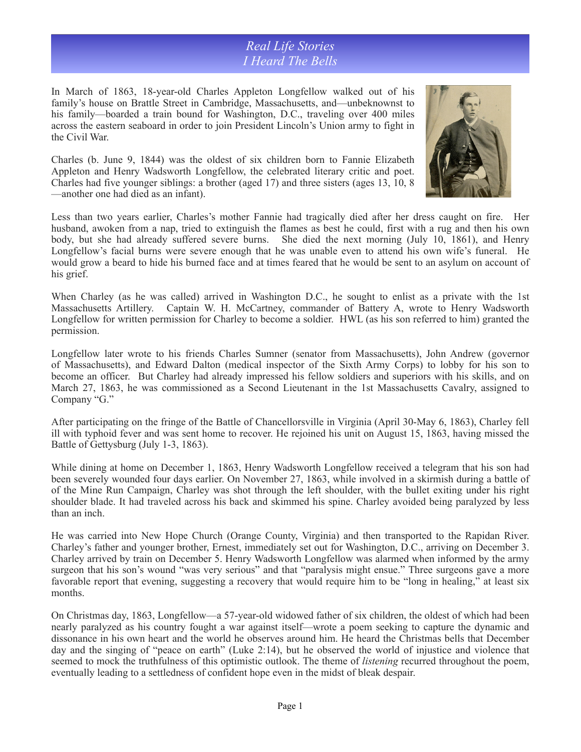*Real Life Stories I Heard The Bells*

In March of 1863, 18-year-old Charles Appleton Longfellow walked out of his family's house on Brattle Street in Cambridge, Massachusetts, and—unbeknownst to his family—boarded a train bound for Washington, D.C., traveling over 400 miles across the eastern seaboard in order to join President Lincoln's Union army to fight in the Civil War.

Charles (b. June 9, 1844) was the oldest of six children born to Fannie Elizabeth Appleton and Henry Wadsworth Longfellow, the celebrated literary critic and poet. Charles had five younger siblings: a brother (aged 17) and three sisters (ages 13, 10, 8 —another one had died as an infant).



Less than two years earlier, Charles's mother Fannie had tragically died after her dress caught on fire. Her husband, awoken from a nap, tried to extinguish the flames as best he could, first with a rug and then his own body, but she had already suffered severe burns. She died the next morning (July 10, 1861), and Henry Longfellow's facial burns were severe enough that he was unable even to attend his own wife's funeral. He would grow a beard to hide his burned face and at times feared that he would be sent to an asylum on account of his grief.

When Charley (as he was called) arrived in Washington D.C., he sought to enlist as a private with the 1st Massachusetts Artillery. Captain W. H. McCartney, commander of Battery A, wrote to Henry Wadsworth Longfellow for written permission for Charley to become a soldier. HWL (as his son referred to him) granted the permission.

Longfellow later wrote to his friends Charles Sumner (senator from Massachusetts), John Andrew (governor of Massachusetts), and Edward Dalton (medical inspector of the Sixth Army Corps) to lobby for his son to become an officer. But Charley had already impressed his fellow soldiers and superiors with his skills, and on March 27, 1863, he was commissioned as a Second Lieutenant in the 1st Massachusetts Cavalry, assigned to Company "G."

After participating on the fringe of the Battle of Chancellorsville in Virginia (April 30-May 6, 1863), Charley fell ill with typhoid fever and was sent home to recover. He rejoined his unit on August 15, 1863, having missed the Battle of Gettysburg (July 1-3, 1863).

While dining at home on December 1, 1863, Henry Wadsworth Longfellow received a telegram that his son had been severely wounded four days earlier. On November 27, 1863, while involved in a skirmish during a battle of of the Mine Run Campaign, Charley was shot through the left shoulder, with the bullet exiting under his right shoulder blade. It had traveled across his back and skimmed his spine. Charley avoided being paralyzed by less than an inch.

He was carried into New Hope Church (Orange County, Virginia) and then transported to the Rapidan River. Charley's father and younger brother, Ernest, immediately set out for Washington, D.C., arriving on December 3. Charley arrived by train on December 5. Henry Wadsworth Longfellow was alarmed when informed by the army surgeon that his son's wound "was very serious" and that "paralysis might ensue." Three surgeons gave a more favorable report that evening, suggesting a recovery that would require him to be "long in healing," at least six months.

On Christmas day, 1863, Longfellow—a 57-year-old widowed father of six children, the oldest of which had been nearly paralyzed as his country fought a war against itself—wrote a poem seeking to capture the dynamic and dissonance in his own heart and the world he observes around him. He heard the Christmas bells that December day and the singing of "peace on earth" (Luke 2:14), but he observed the world of injustice and violence that seemed to mock the truthfulness of this optimistic outlook. The theme of *listening* recurred throughout the poem, eventually leading to a settledness of confident hope even in the midst of bleak despair.